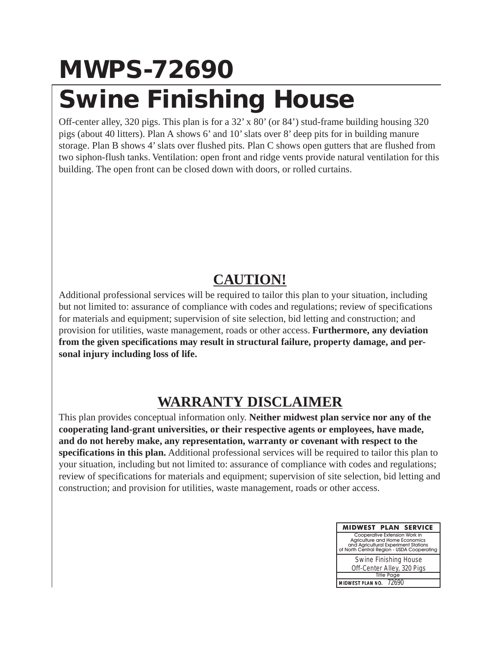## **MWPS-72690 Swine Finishing House**

Off-center alley, 320 pigs. This plan is for a 32' x 80' (or 84') stud-frame building housing 320 pigs (about 40 litters). Plan A shows 6' and 10' slats over 8' deep pits for in building manure storage. Plan B shows 4' slats over flushed pits. Plan C shows open gutters that are flushed from two siphon-flush tanks. Ventilation: open front and ridge vents provide natural ventilation for this building. The open front can be closed down with doors, or rolled curtains.

## **CAUTION!**

Additional professional services will be required to tailor this plan to your situation, including but not limited to: assurance of compliance with codes and regulations; review of specifications for materials and equipment; supervision of site selection, bid letting and construction; and provision for utilities, waste management, roads or other access. **Furthermore, any deviation from the given specifications may result in structural failure, property damage, and personal injury including loss of life.**

## **WARRANTY DISCLAIMER**

This plan provides conceptual information only. **Neither midwest plan service nor any of the cooperating land-grant universities, or their respective agents or employees, have made, and do not hereby make, any representation, warranty or covenant with respect to the specifications in this plan.** Additional professional services will be required to tailor this plan to your situation, including but not limited to: assurance of compliance with codes and regulations; review of specifications for materials and equipment; supervision of site selection, bid letting and construction; and provision for utilities, waste management, roads or other access.

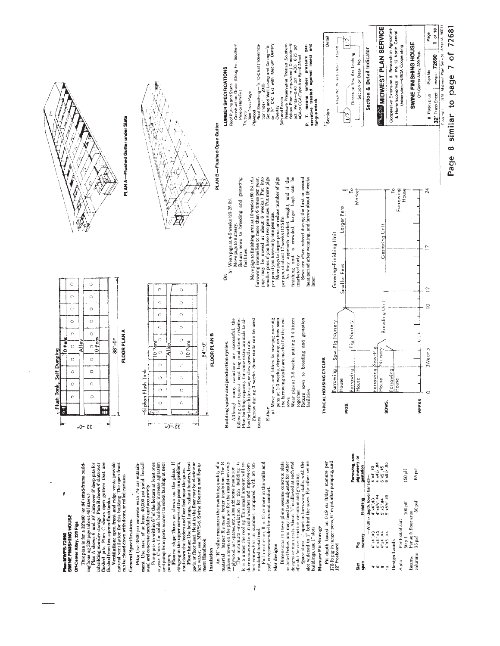

 $\frac{1}{s}$ 

 $\frac{8}{3}$ 

Beams. Slats

an<br>San

ωŏ

8 similar to page 7 of 72681

Page 1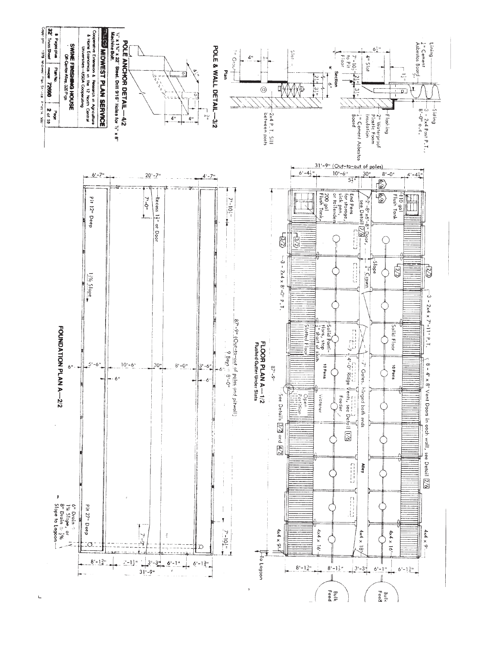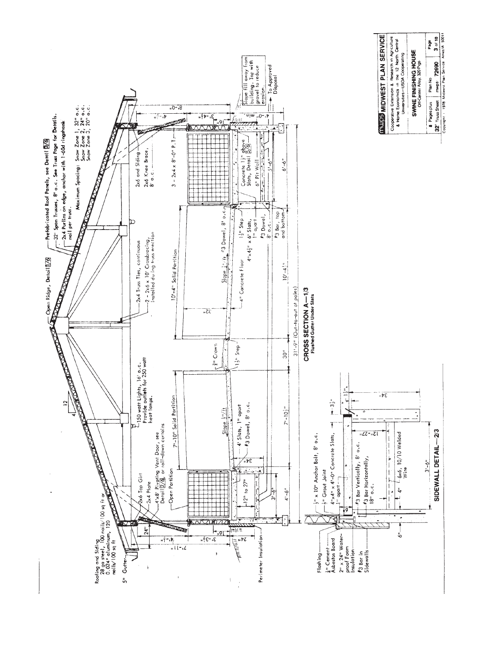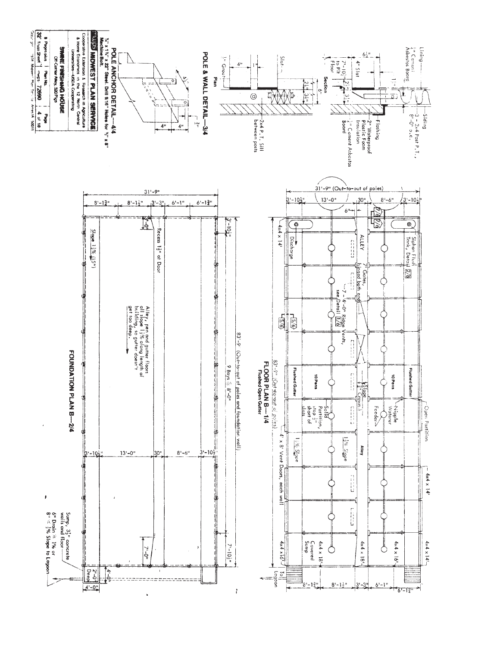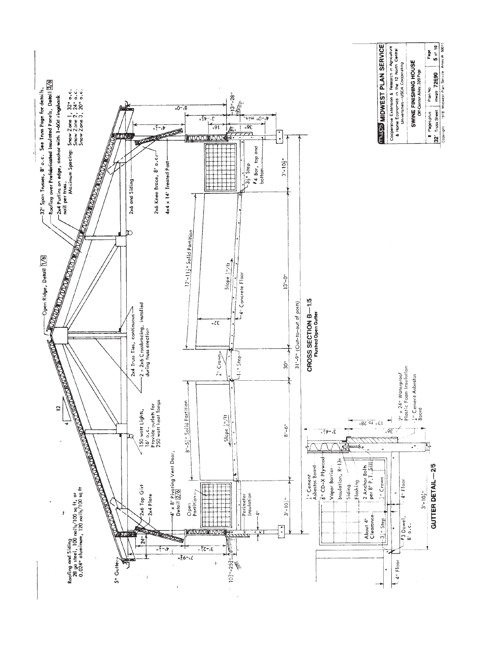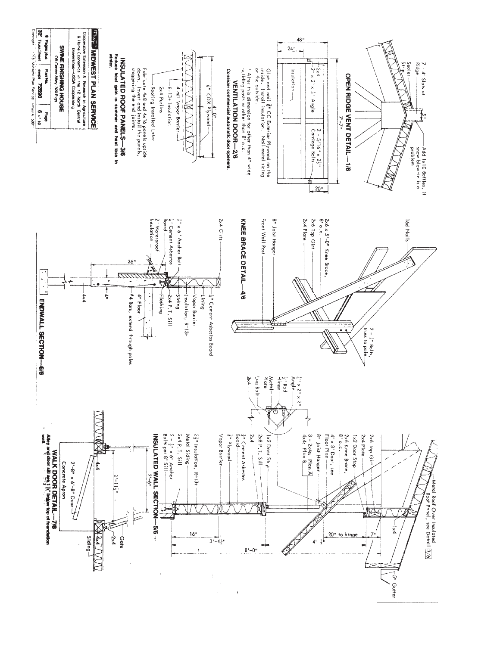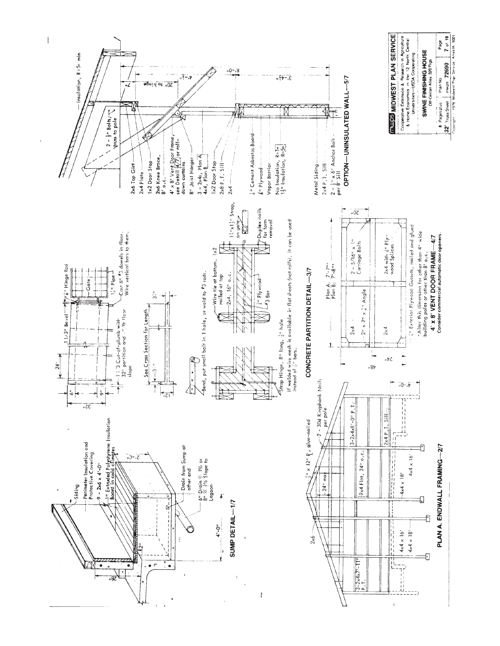